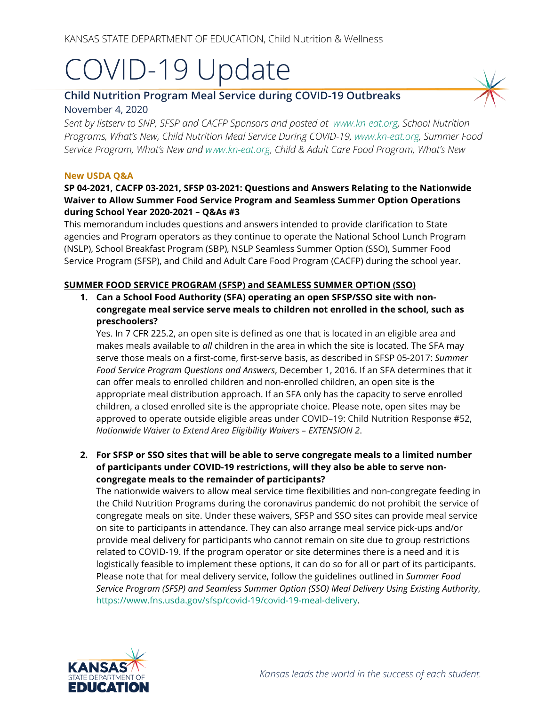# COVID-19 Update

## **Child Nutrition Program Meal Service during COVID-19 Outbreaks** November 4, 2020

*Sent by listserv to SNP, SFSP and CACFP Sponsors and posted at [www.kn-eat.org,](http://www.kn-eat.org/) School Nutrition Programs, What's New, Child Nutrition Meal Service During COVID-19, [www.kn-eat.org,](http://www.kn-eat.org/) Summer Food Service Program, What's New and [www.kn-eat.org,](http://www.kn-eat.org/) Child & Adult Care Food Program, What's New* 

#### **New USDA Q&A**

#### **SP 04-2021, CACFP 03-2021, SFSP 03-2021: Questions and Answers Relating to the Nationwide Waiver to Allow Summer Food Service Program and Seamless Summer Option Operations during School Year 2020-2021 – Q&As #3**

This memorandum includes questions and answers intended to provide clarification to State agencies and Program operators as they continue to operate the National School Lunch Program (NSLP), School Breakfast Program (SBP), NSLP Seamless Summer Option (SSO), Summer Food Service Program (SFSP), and Child and Adult Care Food Program (CACFP) during the school year.

#### **SUMMER FOOD SERVICE PROGRAM (SFSP) and SEAMLESS SUMMER OPTION (SSO)**

**1. Can a School Food Authority (SFA) operating an open SFSP/SSO site with noncongregate meal service serve meals to children not enrolled in the school, such as preschoolers?**

Yes. In 7 CFR 225.2, an open site is defined as one that is located in an eligible area and makes meals available to *all* children in the area in which the site is located. The SFA may serve those meals on a first-come, first-serve basis, as described in SFSP 05-2017: *Summer Food Service Program Questions and Answers*, December 1, 2016. If an SFA determines that it can offer meals to enrolled children and non-enrolled children, an open site is the appropriate meal distribution approach. If an SFA only has the capacity to serve enrolled children, a closed enrolled site is the appropriate choice. Please note, open sites may be approved to operate outside eligible areas under COVID–19: Child Nutrition Response #52, *Nationwide Waiver to Extend Area Eligibility Waivers – EXTENSION 2*.

**2. For SFSP or SSO sites that will be able to serve congregate meals to a limited number of participants under COVID-19 restrictions, will they also be able to serve noncongregate meals to the remainder of participants?** 

The nationwide waivers to allow meal service time flexibilities and non-congregate feeding in the Child Nutrition Programs during the coronavirus pandemic do not prohibit the service of congregate meals on site. Under these waivers, SFSP and SSO sites can provide meal service on site to participants in attendance. They can also arrange meal service pick-ups and/or provide meal delivery for participants who cannot remain on site due to group restrictions related to COVID-19. If the program operator or site determines there is a need and it is logistically feasible to implement these options, it can do so for all or part of its participants. Please note that for meal delivery service, follow the guidelines outlined in *Summer Food Service Program (SFSP) and Seamless Summer Option (SSO) Meal Delivery Using Existing Authority*, [https://www.fns.usda.gov/sfsp/covid-19/covid-19-meal-delivery.](https://gcc02.safelinks.protection.outlook.com/?url=https%3A%2F%2Fwww.fns.usda.gov%2Fsfsp%2Fcovid-19%2Fcovid-19-meal-delivery&data=02%7C01%7C%7Caef92247c777464c164808d819068766%7Ced5b36e701ee4ebc867ee03cfa0d4697%7C0%7C0%7C637286863110844369&sdata=zkpHTF%2F7Sp4T%2FCxRrSnwcYtd8D1OV2uEHUBhypJcN4k%3D&reserved=0)

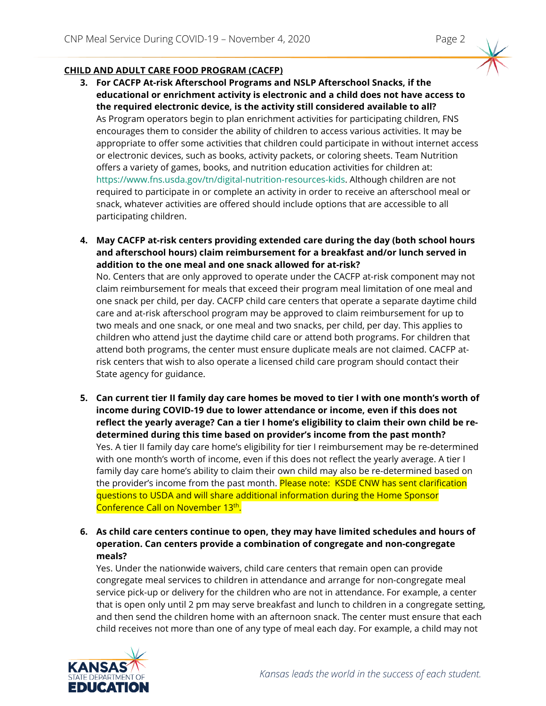### **CHILD AND ADULT CARE FOOD PROGRAM (CACFP)**

- **3. For CACFP At-risk Afterschool Programs and NSLP Afterschool Snacks, if the educational or enrichment activity is electronic and a child does not have access to the required electronic device, is the activity still considered available to all?** As Program operators begin to plan enrichment activities for participating children, FNS encourages them to consider the ability of children to access various activities. It may be appropriate to offer some activities that children could participate in without internet access or electronic devices, such as books, activity packets, or coloring sheets. Team Nutrition offers a variety of games, books, and nutrition education activities for children at: [https://www.fns.usda.gov/tn/digital-nutrition-resources-kids.](https://www.fns.usda.gov/tn/digital-nutrition-resources-kids) Although children are not required to participate in or complete an activity in order to receive an afterschool meal or snack, whatever activities are offered should include options that are accessible to all participating children.
- **4. May CACFP at-risk centers providing extended care during the day (both school hours and afterschool hours) claim reimbursement for a breakfast and/or lunch served in addition to the one meal and one snack allowed for at-risk?**

No. Centers that are only approved to operate under the CACFP at-risk component may not claim reimbursement for meals that exceed their program meal limitation of one meal and one snack per child, per day. CACFP child care centers that operate a separate daytime child care and at-risk afterschool program may be approved to claim reimbursement for up to two meals and one snack, or one meal and two snacks, per child, per day. This applies to children who attend just the daytime child care or attend both programs. For children that attend both programs, the center must ensure duplicate meals are not claimed. CACFP atrisk centers that wish to also operate a licensed child care program should contact their State agency for guidance.

- **5. Can current tier II family day care homes be moved to tier I with one month's worth of income during COVID-19 due to lower attendance or income, even if this does not reflect the yearly average? Can a tier I home's eligibility to claim their own child be redetermined during this time based on provider's income from the past month?**  Yes. A tier II family day care home's eligibility for tier I reimbursement may be re-determined with one month's worth of income, even if this does not reflect the yearly average. A tier I family day care home's ability to claim their own child may also be re-determined based on the provider's income from the past month. Please note: KSDE CNW has sent clarification questions to USDA and will share additional information during the Home Sponsor Conference Call on November 13<sup>th</sup>.
- **6. As child care centers continue to open, they may have limited schedules and hours of operation. Can centers provide a combination of congregate and non-congregate meals?**

Yes. Under the nationwide waivers, child care centers that remain open can provide congregate meal services to children in attendance and arrange for non-congregate meal service pick-up or delivery for the children who are not in attendance. For example, a center that is open only until 2 pm may serve breakfast and lunch to children in a congregate setting, and then send the children home with an afternoon snack. The center must ensure that each child receives not more than one of any type of meal each day. For example, a child may not

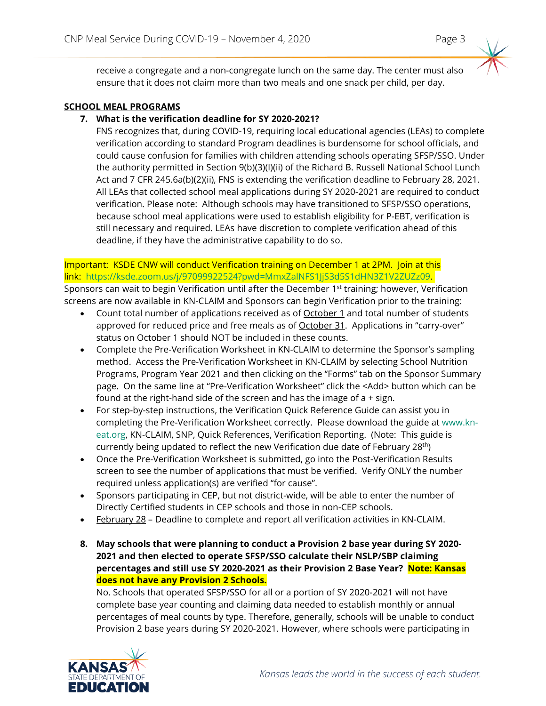receive a congregate and a non-congregate lunch on the same day. The center must also ensure that it does not claim more than two meals and one snack per child, per day.

#### **SCHOOL MEAL PROGRAMS**

#### **7. What is the verification deadline for SY 2020-2021?**

FNS recognizes that, during COVID-19, requiring local educational agencies (LEAs) to complete verification according to standard Program deadlines is burdensome for school officials, and could cause confusion for families with children attending schools operating SFSP/SSO. Under the authority permitted in Section 9(b)(3)(I)(ii) of the Richard B. Russell National School Lunch Act and 7 CFR 245.6a(b)(2)(ii), FNS is extending the verification deadline to February 28, 2021. All LEAs that collected school meal applications during SY 2020-2021 are required to conduct verification. Please note: Although schools may have transitioned to SFSP/SSO operations, because school meal applications were used to establish eligibility for P-EBT, verification is still necessary and required. LEAs have discretion to complete verification ahead of this deadline, if they have the administrative capability to do so.

#### Important: KSDE CNW will conduct Verification training on December 1 at 2PM. Join at this link: [https://ksde.zoom.us/j/97099922524?pwd=MmxZalNFS1JjS3d5S1dHN3Z1V2ZUZz09.](https://ksde.zoom.us/j/97099922524?pwd=MmxZalNFS1JjS3d5S1dHN3Z1V2ZUZz09) Sponsors can wait to begin Verification until after the December 1<sup>st</sup> training; however, Verification screens are now available in KN-CLAIM and Sponsors can begin Verification prior to the training:

- Count total number of applications received as of October 1 and total number of students approved for reduced price and free meals as of October 31. Applications in "carry-over" status on October 1 should NOT be included in these counts.
- Complete the Pre-Verification Worksheet in KN-CLAIM to determine the Sponsor's sampling method. Access the Pre-Verification Worksheet in KN-CLAIM by selecting School Nutrition Programs, Program Year 2021 and then clicking on the "Forms" tab on the Sponsor Summary page. On the same line at "Pre-Verification Worksheet" click the <Add> button which can be found at the right-hand side of the screen and has the image of a + sign.
- For step-by-step instructions, the Verification Quick Reference Guide can assist you in completing the Pre-Verification Worksheet correctly. Please download the guide a[t www.kn](http://www.kn-eat.org/)[eat.org,](http://www.kn-eat.org/) KN-CLAIM, SNP, Quick References, Verification Reporting. (Note: This guide is currently being updated to reflect the new Verification due date of February 28th)
- Once the Pre-Verification Worksheet is submitted, go into the Post-Verification Results screen to see the number of applications that must be verified. Verify ONLY the number required unless application(s) are verified "for cause".
- Sponsors participating in CEP, but not district-wide, will be able to enter the number of Directly Certified students in CEP schools and those in non-CEP schools.
- February 28 Deadline to complete and report all verification activities in KN-CLAIM.
- **8. May schools that were planning to conduct a Provision 2 base year during SY 2020- 2021 and then elected to operate SFSP/SSO calculate their NSLP/SBP claiming percentages and still use SY 2020-2021 as their Provision 2 Base Year? Note: Kansas does not have any Provision 2 Schools.**

No. Schools that operated SFSP/SSO for all or a portion of SY 2020-2021 will not have complete base year counting and claiming data needed to establish monthly or annual percentages of meal counts by type. Therefore, generally, schools will be unable to conduct Provision 2 base years during SY 2020-2021. However, where schools were participating in

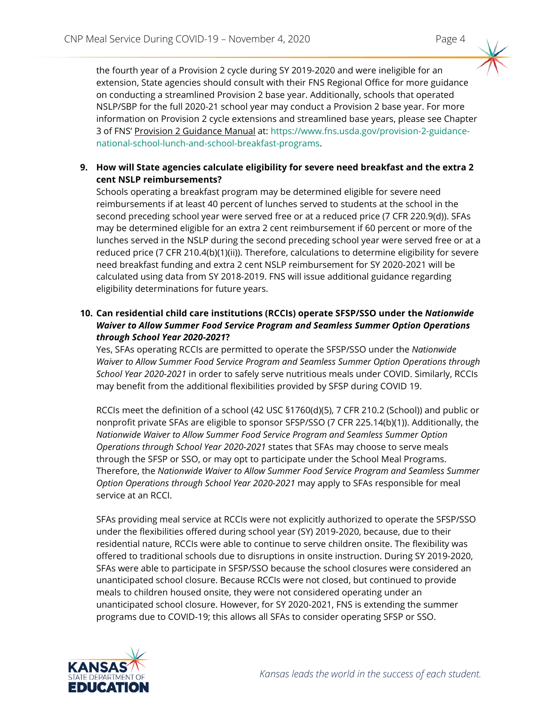the fourth year of a Provision 2 cycle during SY 2019-2020 and were ineligible for an extension, State agencies should consult with their FNS Regional Office for more guidance on conducting a streamlined Provision 2 base year. Additionally, schools that operated NSLP/SBP for the full 2020-21 school year may conduct a Provision 2 base year. For more information on Provision 2 cycle extensions and streamlined base years, please see Chapter 3 of FNS' Provision 2 Guidance Manual at: [https://www.fns.usda.gov/provision-2-guidance](https://www.fns.usda.gov/provision-2-guidance-national-school-lunch-and-school-breakfast-programs)[national-school-lunch-and-school-breakfast-programs.](https://www.fns.usda.gov/provision-2-guidance-national-school-lunch-and-school-breakfast-programs)

#### **9. How will State agencies calculate eligibility for severe need breakfast and the extra 2 cent NSLP reimbursements?**

Schools operating a breakfast program may be determined eligible for severe need reimbursements if at least 40 percent of lunches served to students at the school in the second preceding school year were served free or at a reduced price (7 CFR 220.9(d)). SFAs may be determined eligible for an extra 2 cent reimbursement if 60 percent or more of the lunches served in the NSLP during the second preceding school year were served free or at a reduced price (7 CFR 210.4(b)(1)(ii)). Therefore, calculations to determine eligibility for severe need breakfast funding and extra 2 cent NSLP reimbursement for SY 2020-2021 will be calculated using data from SY 2018-2019. FNS will issue additional guidance regarding eligibility determinations for future years.

#### **10. Can residential child care institutions (RCCIs) operate SFSP/SSO under the** *Nationwide Waiver to Allow Summer Food Service Program and Seamless Summer Option Operations through School Year 2020-2021***?**

Yes, SFAs operating RCCIs are permitted to operate the SFSP/SSO under the *Nationwide Waiver to Allow Summer Food Service Program and Seamless Summer Option Operations through School Year 2020-2021* in order to safely serve nutritious meals under COVID. Similarly, RCCIs may benefit from the additional flexibilities provided by SFSP during COVID 19.

RCCIs meet the definition of a school (42 USC §1760(d)(5), 7 CFR 210.2 (School)) and public or nonprofit private SFAs are eligible to sponsor SFSP/SSO (7 CFR 225.14(b)(1)). Additionally, the *Nationwide Waiver to Allow Summer Food Service Program and Seamless Summer Option Operations through School Year 2020-2021* states that SFAs may choose to serve meals through the SFSP or SSO, or may opt to participate under the School Meal Programs. Therefore, the *Nationwide Waiver to Allow Summer Food Service Program and Seamless Summer Option Operations through School Year 2020-2021* may apply to SFAs responsible for meal service at an RCCI.

SFAs providing meal service at RCCIs were not explicitly authorized to operate the SFSP/SSO under the flexibilities offered during school year (SY) 2019-2020, because, due to their residential nature, RCCIs were able to continue to serve children onsite. The flexibility was offered to traditional schools due to disruptions in onsite instruction. During SY 2019-2020, SFAs were able to participate in SFSP/SSO because the school closures were considered an unanticipated school closure. Because RCCIs were not closed, but continued to provide meals to children housed onsite, they were not considered operating under an unanticipated school closure. However, for SY 2020-2021, FNS is extending the summer programs due to COVID-19; this allows all SFAs to consider operating SFSP or SSO.